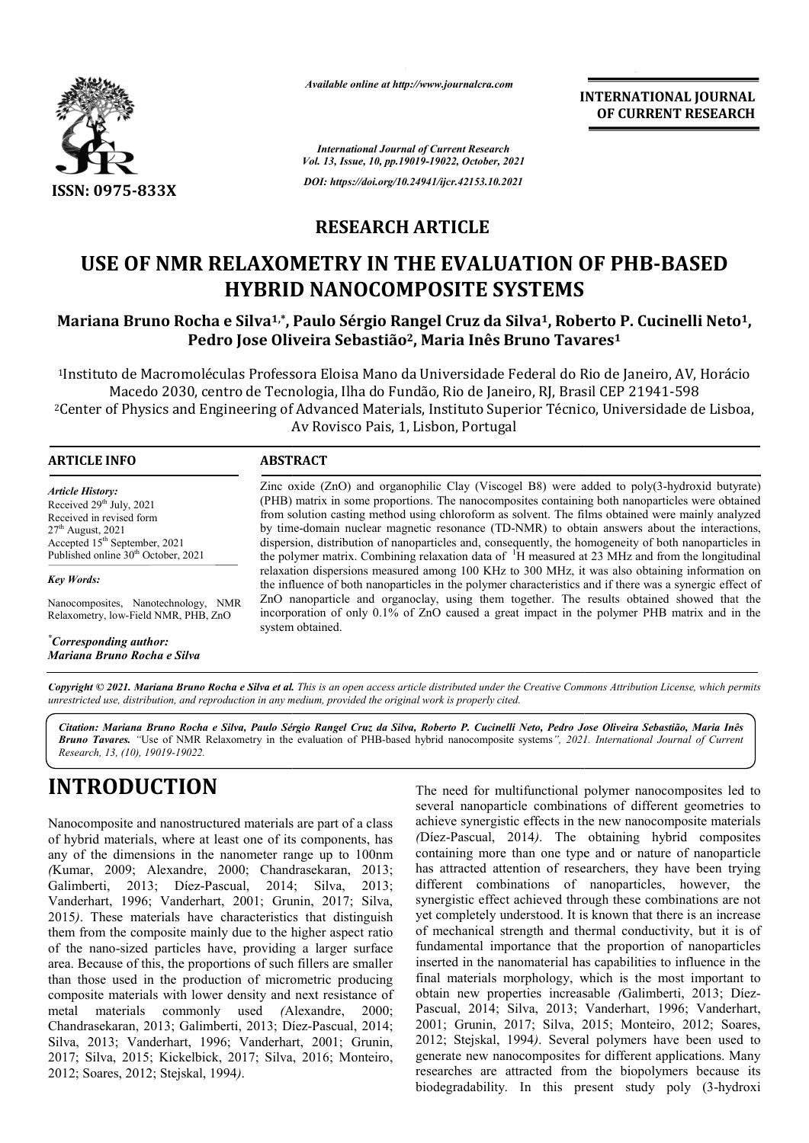

*Available online at http://www.journalcra.com*

**INTERNATIONAL JOURNAL OF CURRENT RESEARCH**

*International Journal of Current Research Vol. 13, Issue, 10, pp.19019-19022, October, 2021 DOI: https://doi.org/10.24941/ijcr.42153.10.2021*

## **RESEARCH ARTICLE**

# **USE OF NMR RELAXOMETRY IN THE EVALUATION OF PHB-BASED HYBRID NANOCOMPOSITE SYSTEMS**

### **Mariana Bruno Rocha e Silva1,\*, Paulo Sérgio Rangel Cruz da Silva1, Roberto P. Cucinelli Neto1, Pedro Jose Oliveira Sebastião2, Maria Inês Bruno Tavares Tavares1**

1Instituto de Macromoléculas Professora Eloisa Mano da Universidade Federal do Rio de Janeiro, AV, Horácio Macedo 2030, centro de Tecnologia, Ilha do Fundão, Rio de Janeiro, RJ, Brasil CEP 21941-598 <sup>2</sup>Center of Physics and Engineering of Advanced Materials, Instituto Superior Técnico, Universidade de Lisboa, Av Rovisco Pais, 1, Lisbon, Portugal

| <b>ARTICLE INFO</b>                                                                                                                                                                                                | <b>ABSTRACT</b>                                                                                                                                                                                                                                                                                                                                                                                                                                                                                                                                                                                                                |  |  |  |
|--------------------------------------------------------------------------------------------------------------------------------------------------------------------------------------------------------------------|--------------------------------------------------------------------------------------------------------------------------------------------------------------------------------------------------------------------------------------------------------------------------------------------------------------------------------------------------------------------------------------------------------------------------------------------------------------------------------------------------------------------------------------------------------------------------------------------------------------------------------|--|--|--|
| <b>Article History:</b><br>Received 29 <sup>th</sup> July, 2021<br>Received in revised form<br>$27th$ August, 2021<br>Accepted 15 <sup>th</sup> September, 2021<br>Published online 30 <sup>th</sup> October, 2021 | Zinc oxide (ZnO) and organophilic Clay (Viscogel B8) were added to poly(3-hydroxid butyrate)<br>(PHB) matrix in some proportions. The nanocomposites containing both nanoparticles were obtained<br>from solution casting method using chloroform as solvent. The films obtained were mainly analyzed<br>by time-domain nuclear magnetic resonance (TD-NMR) to obtain answers about the interactions,<br>dispersion, distribution of nanoparticles and, consequently, the homogeneity of both nanoparticles in<br>the polymer matrix. Combining relaxation data of <sup>1</sup> H measured at 23 MHz and from the longitudinal |  |  |  |
| <b>Key Words:</b>                                                                                                                                                                                                  | relaxation dispersions measured among 100 KHz to 300 MHz, it was also obtaining information on<br>the influence of both nanoparticles in the polymer characteristics and if there was a synergic effect of                                                                                                                                                                                                                                                                                                                                                                                                                     |  |  |  |
| Nanocomposites, Nanotechnology, NMR<br>Relaxometry, low-Field NMR, PHB, ZnO                                                                                                                                        | ZnO nanoparticle and organoclay, using them together. The results obtained showed that the<br>incorporation of only 0.1% of ZnO caused a great impact in the polymer PHB matrix and in the<br>system obtained.                                                                                                                                                                                                                                                                                                                                                                                                                 |  |  |  |
| Corresponding author:                                                                                                                                                                                              |                                                                                                                                                                                                                                                                                                                                                                                                                                                                                                                                                                                                                                |  |  |  |

Copyright © 2021. Mariana Bruno Rocha e Silva et al. This is an open access article distributed under the Creative Commons Attribution License, which permits *unrestricted use, distribution, and reproduction in any medium, provided the original work is properly cited.*

Citation: Mariana Bruno Rocha e Silva, Paulo Sérgio Rangel Cruz da Silva, Roberto P. Cucinelli Neto, Pedro Jose Oliveira Sebastião, Maria Inês *Bruno Tavares. "*Use of NMR Relaxometry in the evaluation of PHB-based hybrid nanocomposite systems*", 2021 1. International Journal of CurrentResearch, 13, (10), 19019-19022.*

# **INTRODUCTION**

*Mariana Bruno Rocha e Silva*

Nanocomposite and nanostructured materials are part of a class of hybrid materials, where at least one of its components, has any of the dimensions in the nanometer range up to 100nm *(*Kumar, 2009; Alexandre, 2000; Chandrasekaran, 2013; Galimberti, 2013; Díez-Pascual, 2014; Silva, 2013; Vanderhart, 1996; Vanderhart, 2001; Grunin, 2017; Silva, 2015*)*. These materials have characteristics that distinguish them from the composite mainly due to the higher aspect ratio of the nano-sized particles have, providing a larger surface area. Because of this, the proportions of such fillers are smaller than those used in the production of micrometric producing composite materials with lower density and next resistance of metal materials commonly used *(*Alexandre, Chandrasekaran, 2013; Galimberti, 2013; Díez Díez-Pascual, 2014; Silva, 2013; Vanderhart, 1996; Vanderhart, 2001; Grunin, 2017; Silva, 2015; Kickelbick, 2017; Silva, 2016; Monteiro, 2012; Soares, 2012; Stejskal, 1994*)*. 2000; The need for multifunctional polymer nanocomposites led to several nanoparticle combinations of different geometries to achieve synergistic effects in the new nanocomposite materials *(*Díez-Pascual, 2014*)*. The obtaining hybrid composites containing more than one type and or nature of nanoparticle has attracted attention of researchers, they have been trying different combinations of nanoparticles, however, the synergistic effect achieved through these combinations are not yet completely understood. It is known that there is an increase of mechanical strength and thermal conductivity, but it is of fundamental importance that the proportion of nanoparticles inserted in the nanomaterial has capabilities to influence in the final materials morphology, which is the most important to obtain new properties increasable *(*Galimberti, 2013; Díez-Pascual, 2014; Silva, 2013; Vanderhart, 1996; Vanderhart, 2001; Grunin, 2017; Silva, 2015; Monteiro, 2012; Soares, 2012; Stejskal, 1994*)*. Several polymers have been used to generate new nanocomposites for different applications. Many researches are attracted from the biopolymers because its biodegradability. In this present study poly (3-hydroxi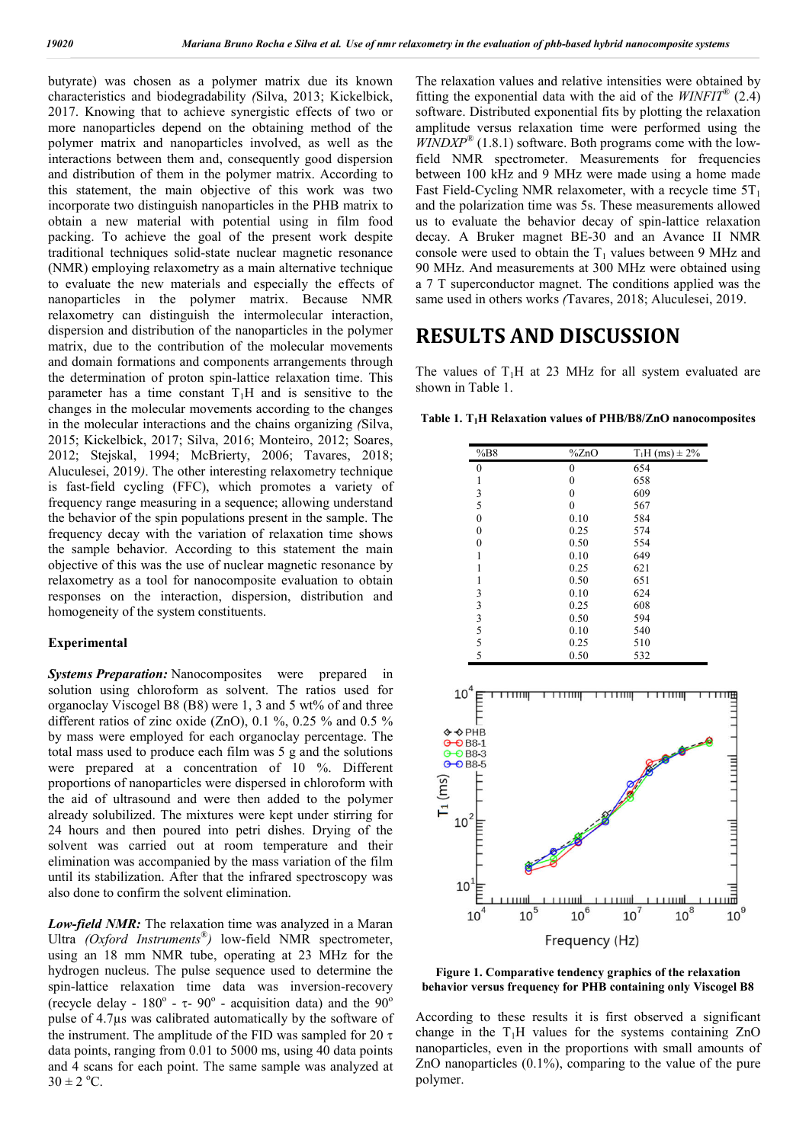butyrate) was chosen as a polymer matrix due its known characteristics and biodegradability *(*Silva, 2013; Kickelbick, 2017. Knowing that to achieve synergistic effects of two or more nanoparticles depend on the obtaining method of the polymer matrix and nanoparticles involved, as well as the interactions between them and, consequently good dispersion and distribution of them in the polymer matrix. According to this statement, the main objective of this work was two incorporate two distinguish nanoparticles in the PHB matrix to obtain a new material with potential using in film food packing. To achieve the goal of the present work despite traditional techniques solid-state nuclear magnetic resonance (NMR) employing relaxometry as a main alternative technique to evaluate the new materials and especially the effects of nanoparticles in the polymer matrix. Because NMR relaxometry can distinguish the intermolecular interaction, dispersion and distribution of the nanoparticles in the polymer matrix, due to the contribution of the molecular movements and domain formations and components arrangements through the determination of proton spin-lattice relaxation time. This parameter has a time constant  $T_1H$  and is sensitive to the changes in the molecular movements according to the changes in the molecular interactions and the chains organizing *(*Silva, 2015; Kickelbick, 2017; Silva, 2016; Monteiro, 2012; Soares, 2012; Stejskal, 1994; McBrierty, 2006; Tavares, 2018; Aluculesei, 2019*)*. The other interesting relaxometry technique is fast-field cycling (FFC), which promotes a variety of frequency range measuring in a sequence; allowing understand the behavior of the spin populations present in the sample. The frequency decay with the variation of relaxation time shows the sample behavior. According to this statement the main objective of this was the use of nuclear magnetic resonance by relaxometry as a tool for nanocomposite evaluation to obtain responses on the interaction, dispersion, distribution and homogeneity of the system constituents.

#### **Experimental**

**Systems Preparation:** Nanocomposites were prepared in solution using chloroform as solvent. The ratios used for organoclay Viscogel B8 (B8) were 1, 3 and 5 wt% of and three different ratios of zinc oxide (ZnO), 0.1 %, 0.25 % and 0.5 % by mass were employed for each organoclay percentage. The total mass used to produce each film was 5 g and the solutions were prepared at a concentration of 10 %. Different proportions of nanoparticles were dispersed in chloroform with the aid of ultrasound and were then added to the polymer already solubilized. The mixtures were kept under stirring for 24 hours and then poured into petri dishes. Drying of the solvent was carried out at room temperature and their elimination was accompanied by the mass variation of the film until its stabilization. After that the infrared spectroscopy was also done to confirm the solvent elimination.

*Low-field NMR:* The relaxation time was analyzed in a Maran Ultra *(Oxford Instruments®)* low-field NMR spectrometer, using an 18 mm NMR tube, operating at 23 MHz for the hydrogen nucleus. The pulse sequence used to determine the spin-lattice relaxation time data was inversion-recovery (recycle delay -  $180^\circ$  -  $\tau$ -  $90^\circ$  - acquisition data) and the  $90^\circ$ pulse of 4.7µs was calibrated automatically by the software of the instrument. The amplitude of the FID was sampled for 20  $\tau$ data points, ranging from 0.01 to 5000 ms, using 40 data points and 4 scans for each point. The same sample was analyzed at  $30 \pm 2$  °C.

The relaxation values and relative intensities were obtained by fitting the exponential data with the aid of the *WINFIT*® (2.4) software. Distributed exponential fits by plotting the relaxation amplitude versus relaxation time were performed using the  $WINDXP^{\circledR}$  (1.8.1) software. Both programs come with the lowfield NMR spectrometer. Measurements for frequencies between 100 kHz and 9 MHz were made using a home made Fast Field-Cycling NMR relaxometer, with a recycle time  $5T_1$ and the polarization time was 5s. These measurements allowed us to evaluate the behavior decay of spin-lattice relaxation decay. A Bruker magnet BE-30 and an Avance II NMR console were used to obtain the  $T_1$  values between 9 MHz and 90 MHz. And measurements at 300 MHz were obtained using a 7 T superconductor magnet. The conditions applied was the same used in others works *(*Tavares, 2018; Aluculesei, 2019.

## **RESULTS AND DISCUSSION**

The values of  $T_1H$  at 23 MHz for all system evaluated are shown in Table 1.

**Table 1. T1H Relaxation values of PHB/B8/ZnO nanocomposites**

| %BB8                                                                                                   |                | $\frac{9}{6}$ ZnO | $T_1H$ (ms) $\pm 2\%$      |        |                        |
|--------------------------------------------------------------------------------------------------------|----------------|-------------------|----------------------------|--------|------------------------|
| $\overline{0}$                                                                                         |                | $\boldsymbol{0}$  | 654                        |        |                        |
|                                                                                                        |                | $\boldsymbol{0}$  | 658                        |        |                        |
| $\frac{1}{3}$                                                                                          |                | $\boldsymbol{0}$  | 609                        |        |                        |
| 5                                                                                                      |                | $\overline{0}$    | 567                        |        |                        |
| $\overline{0}$                                                                                         |                | 0.10              | 584                        |        |                        |
| $\mathbf{0}$                                                                                           |                | 0.25              | 574                        |        |                        |
| $\boldsymbol{0}$                                                                                       |                | 0.50              | 554                        |        |                        |
| $\mathbf{1}$                                                                                           |                | 0.10              | 649                        |        |                        |
| $\mathbf{1}$                                                                                           |                | 0.25              | 621                        |        |                        |
| $\mathbf{1}$                                                                                           |                | 0.50              | 651                        |        |                        |
|                                                                                                        |                | 0.10              | 624                        |        |                        |
|                                                                                                        |                | 0.25              | 608                        |        |                        |
|                                                                                                        |                | 0.50              | 594                        |        |                        |
| 3335555                                                                                                |                | 0.10              | 540                        |        |                        |
|                                                                                                        |                | 0.25              | 510                        |        |                        |
|                                                                                                        |                | 0.50              | 532                        |        |                        |
| <b>O → PHB</b><br>$\Theta$ B8-1<br>$-$ OB8-3<br>Э<br>$-$ 0 B8-5<br>$\Theta$<br>lms<br>$10^2$<br>$10^1$ |                |                   |                            |        |                        |
| $10^{4}$                                                                                               | пш<br>$10^{5}$ | THH<br>$10^6$     | اسبيت<br>اسبيب<br>$10^{7}$ | $10^8$ | $\mathbb{L}$<br>$10^9$ |
|                                                                                                        |                | Frequency (Hz)    |                            |        |                        |

**Figure 1. Comparative tendency graphics of the relaxation behavior versus frequency for PHB containing only Viscogel B8**

According to these results it is first observed a significant change in the  $T_1H$  values for the systems containing  $ZnO$ nanoparticles, even in the proportions with small amounts of ZnO nanoparticles (0.1%), comparing to the value of the pure polymer.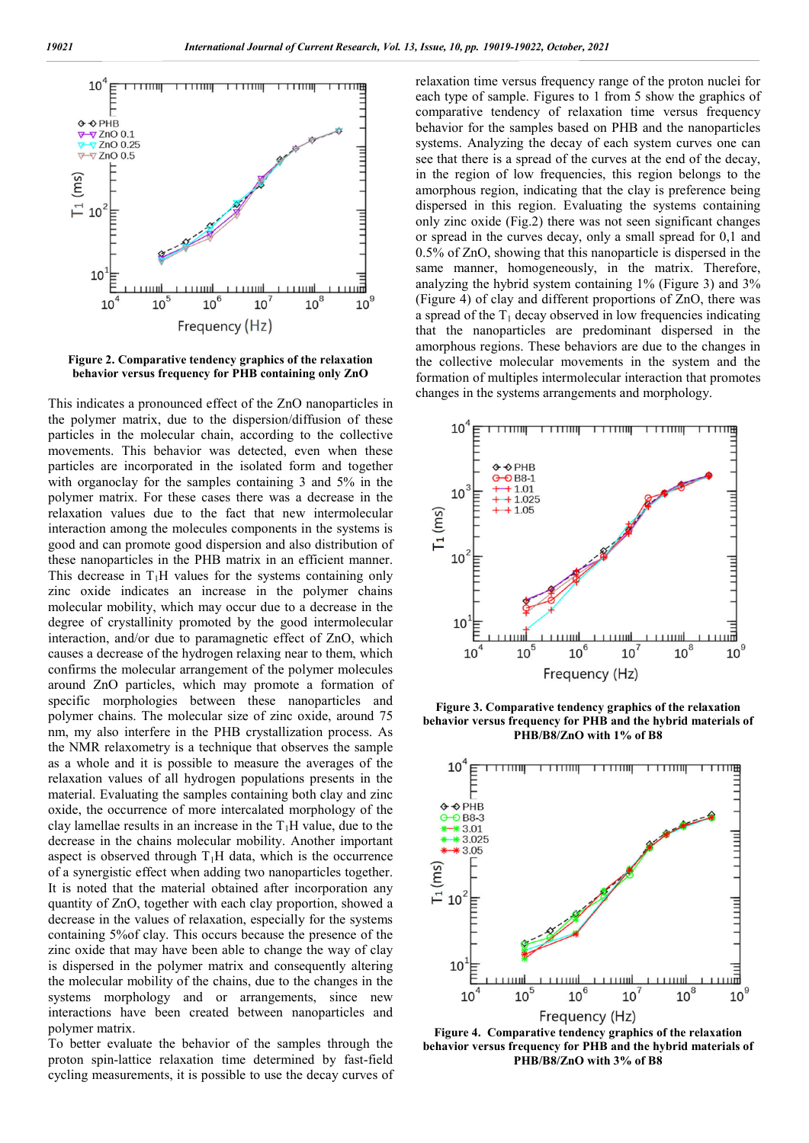

**Figure 2. Comparative tendency graphics of the relaxation behavior versus frequency for PHB containing only ZnO**

This indicates a pronounced effect of the ZnO nanoparticles in the polymer matrix, due to the dispersion/diffusion of these particles in the molecular chain, according to the collective movements. This behavior was detected, even when these particles are incorporated in the isolated form and together with organoclay for the samples containing 3 and 5% in the polymer matrix. For these cases there was a decrease in the relaxation values due to the fact that new intermolecular interaction among the molecules components in the systems is good and can promote good dispersion and also distribution of these nanoparticles in the PHB matrix in an efficient manner. This decrease in  $T_1H$  values for the systems containing only zinc oxide indicates an increase in the polymer chains molecular mobility, which may occur due to a decrease in the degree of crystallinity promoted by the good intermolecular interaction, and/or due to paramagnetic effect of ZnO, which causes a decrease of the hydrogen relaxing near to them, which confirms the molecular arrangement of the polymer molecules around ZnO particles, which may promote a formation of specific morphologies between these nanoparticles and polymer chains. The molecular size of zinc oxide, around 75 nm, my also interfere in the PHB crystallization process. As the NMR relaxometry is a technique that observes the sample as a whole and it is possible to measure the averages of the relaxation values of all hydrogen populations presents in the material. Evaluating the samples containing both clay and zinc oxide, the occurrence of more intercalated morphology of the clay lamellae results in an increase in the  $T_1H$  value, due to the decrease in the chains molecular mobility. Another important aspect is observed through  $T_1H$  data, which is the occurrence of a synergistic effect when adding two nanoparticles together. It is noted that the material obtained after incorporation any quantity of ZnO, together with each clay proportion, showed a decrease in the values of relaxation, especially for the systems containing 5%of clay. This occurs because the presence of the zinc oxide that may have been able to change the way of clay is dispersed in the polymer matrix and consequently altering the molecular mobility of the chains, due to the changes in the systems morphology and or arrangements, since new interactions have been created between nanoparticles and polymer matrix.

To better evaluate the behavior of the samples through the proton spin-lattice relaxation time determined by fast-field cycling measurements, it is possible to use the decay curves of relaxation time versus frequency range of the proton nuclei for each type of sample. Figures to 1 from 5 show the graphics of comparative tendency of relaxation time versus frequency behavior for the samples based on PHB and the nanoparticles systems. Analyzing the decay of each system curves one can see that there is a spread of the curves at the end of the decay, in the region of low frequencies, this region belongs to the amorphous region, indicating that the clay is preference being dispersed in this region. Evaluating the systems containing only zinc oxide (Fig.2) there was not seen significant changes or spread in the curves decay, only a small spread for 0,1 and 0.5% of ZnO, showing that this nanoparticle is dispersed in the same manner, homogeneously, in the matrix. Therefore, analyzing the hybrid system containing 1% (Figure 3) and 3% (Figure 4) of clay and different proportions of ZnO, there was a spread of the  $T_1$  decay observed in low frequencies indicating that the nanoparticles are predominant dispersed in the amorphous regions. These behaviors are due to the changes in the collective molecular movements in the system and the formation of multiples intermolecular interaction that promotes changes in the systems arrangements and morphology.



**Figure 3. Comparative tendency graphics of the relaxation behavior versus frequency for PHB and the hybrid materials of PHB/B8/ZnO with 1% of B8**



**Figure 4. Comparative tendency graphics of the relaxation behavior versus frequency for PHB and the hybrid materials of PHB/B8/ZnO with 3% of B8**